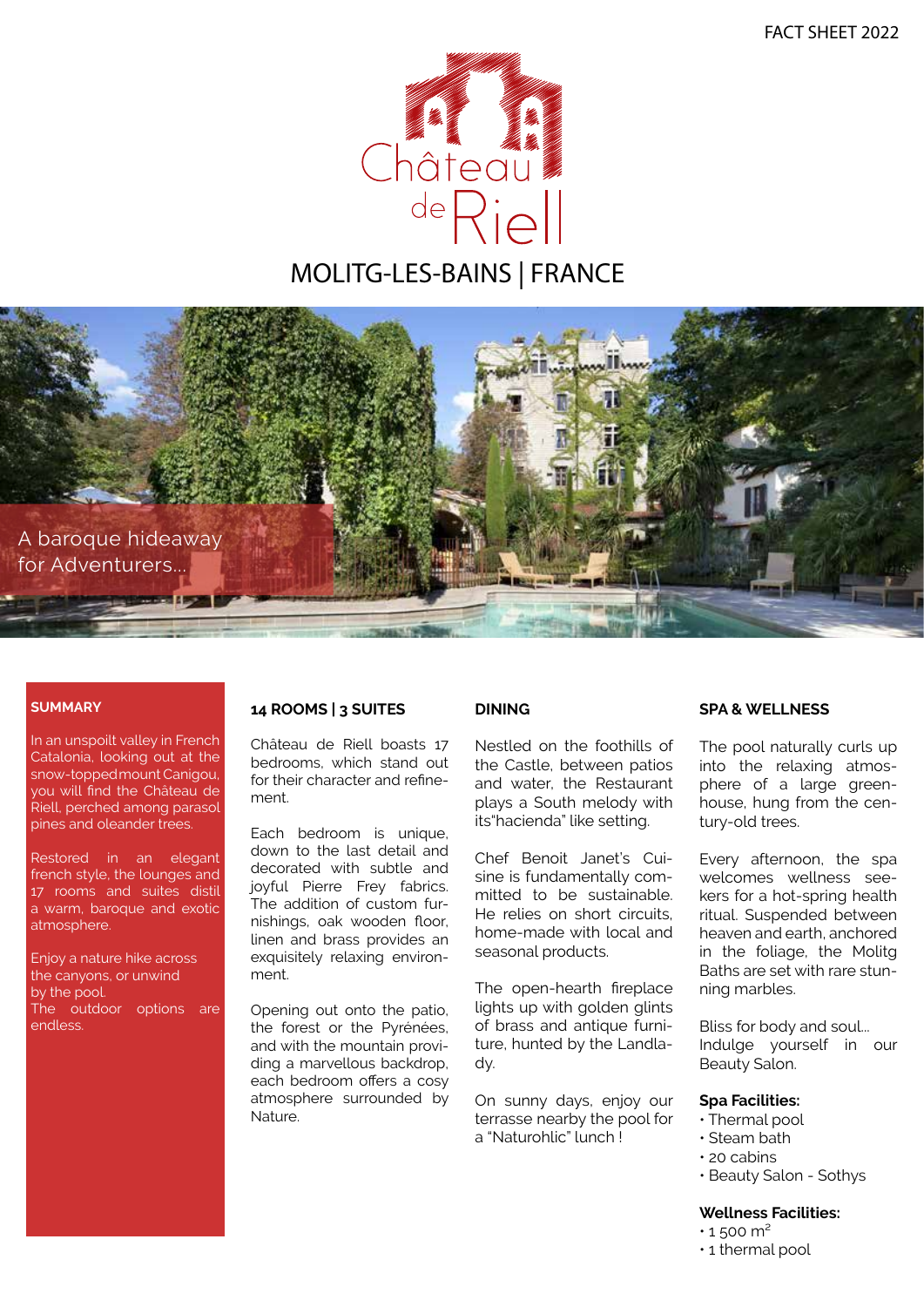

# MOLITG-LES-BAINS | FRANCE



#### **SUMMARY**

In an unspoilt valley in French Catalonia, looking out at the snow-toppedmount Canigou, you will find the Château de Riell, perched among parasol pines and oleander trees.

Restored in an elegant french style, the lounges and 17 rooms and suites distil a warm, baroque and exotic atmosphere.

Enjoy a nature hike across the canyons, or unwind by the pool. The outdoor options are endless.

#### **14 ROOMS | 3 SUITES**

Château de Riell boasts 17 bedrooms, which stand out for their character and refinement.

Each bedroom is unique, down to the last detail and decorated with subtle and joyful Pierre Frey fabrics. The addition of custom furnishings, oak wooden floor, linen and brass provides an exquisitely relaxing environment.

Opening out onto the patio, the forest or the Pyrénées, and with the mountain providing a marvellous backdrop, each bedroom offers a cosy atmosphere surrounded by Nature.

#### **DINING**

Nestled on the foothills of the Castle, between patios and water, the Restaurant plays a South melody with its"hacienda" like setting.

Chef Benoit Janet's Cuisine is fundamentally committed to be sustainable. He relies on short circuits, home-made with local and seasonal products.

The open-hearth fireplace lights up with golden glints of brass and antique furniture, hunted by the Landlady.

On sunny days, enjoy our terrasse nearby the pool for a "Naturohlic" lunch !

#### **SPA & WELLNESS**

The pool naturally curls up into the relaxing atmosphere of a large greenhouse, hung from the century-old trees.

Every afternoon, the spa welcomes wellness seekers for a hot-spring health ritual. Suspended between heaven and earth, anchored in the foliage, the Molitg Baths are set with rare stunning marbles.

Bliss for body and soul... Indulge yourself in our Beauty Salon.

#### **Spa Facilities:**

- Thermal pool
- Steam bath
- 20 cabins
- Beauty Salon Sothys

#### **Wellness Facilities:**

- $\cdot$  1 500 m<sup>2</sup>
- 1 thermal pool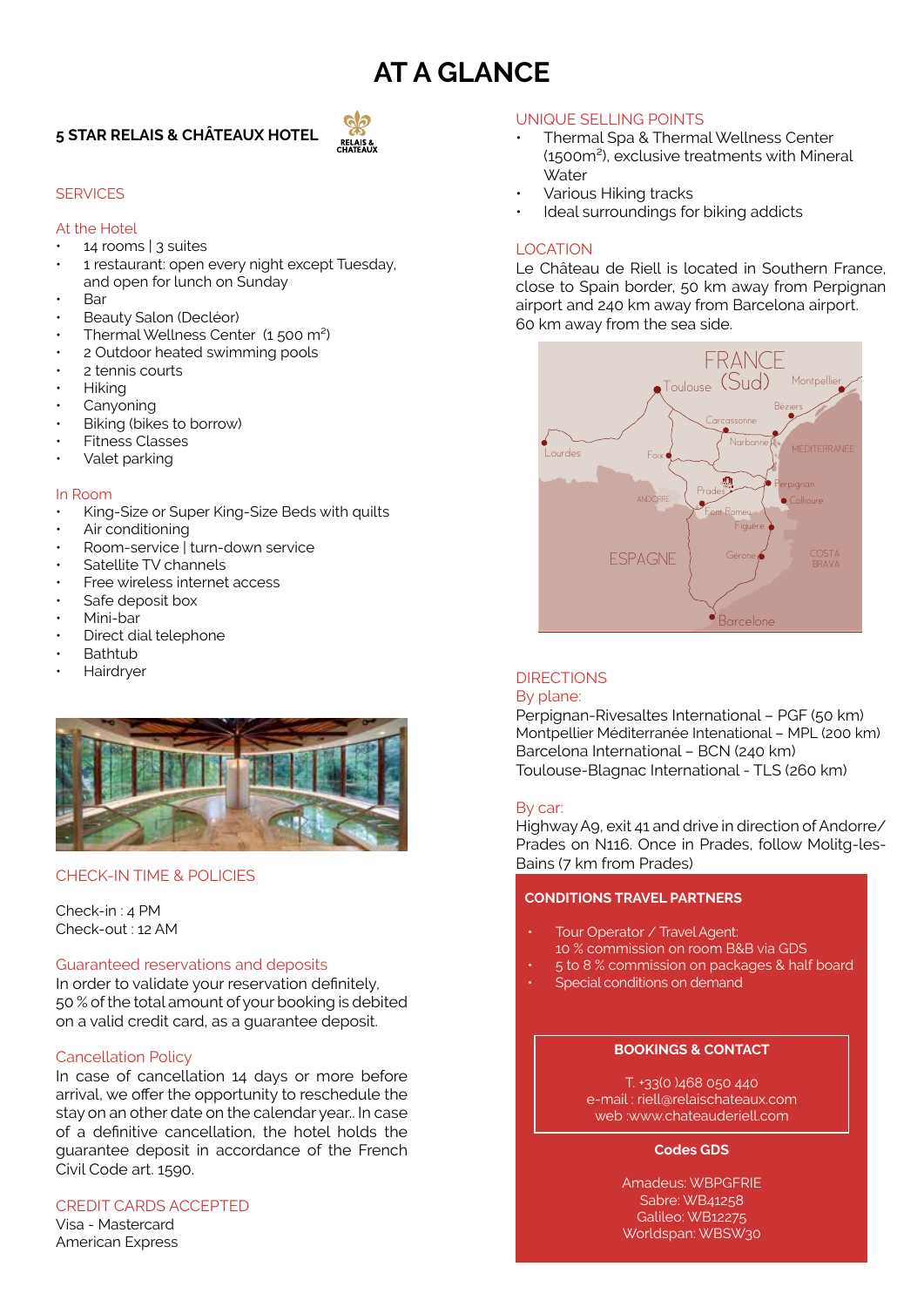# **AT A GLANCE**

## **5 STAR RELAIS & CHÂTEAUX HOTEL**



#### **SERVICES**

#### At the Hotel

- 14 rooms | 3 suites
- 1 restaurant: open every night except Tuesday, and open for lunch on Sunday
- Bar
- Beauty Salon (Decléor)
- Thermal Wellness Center (1 500 m²)
- 2 Outdoor heated swimming pools
- 2 tennis courts
- Hiking
- **Canyoning**
- Biking (bikes to borrow)
- Fitness Classes
- Valet parking

#### In Room

- King-Size or Super King-Size Beds with quilts
- Air conditioning
- Room-service | turn-down service
- Satellite TV channels
- Free wireless internet access
- Safe deposit box
- Mini-bar
- Direct dial telephone
- **Bathtub**
- **Hairdrver**



## Bains (7 km from Prades) CHECK-IN TIME & POLICIES

#### Check-in : 4 PM Check-out : 12 AM

#### Guaranteed reservations and deposits

In order to validate your reservation definitely, 50 % of the total amount of your booking is debited on a valid credit card, as a guarantee deposit.

#### Cancellation Policy

In case of cancellation 14 days or more before arrival, we offer the opportunity to reschedule the stay on an other date on the calendar year.. In case of a definitive cancellation, the hotel holds the guarantee deposit in accordance of the French Civil Code art. 1590.

#### CREDIT CARDS ACCEPTED

Visa - Mastercard American Express

#### UNIQUE SELLING POINTS

- Thermal Spa & Thermal Wellness Center (1500m²), exclusive treatments with Mineral **Water**
- Various Hiking tracks
- Ideal surroundings for biking addicts

#### LOCATION

Le Château de Riell is located in Southern France, close to Spain border, 50 km away from Perpignan airport and 240 km away from Barcelona airport. 60 km away from the sea side.



### **DIRECTIONS**

#### By plane:

Perpignan-Rivesaltes International – PGF (50 km) Montpellier Méditerranée Intenational – MPL (200 km) Barcelona International – BCN (240 km) Toulouse-Blagnac International - TLS (260 km)

#### By car:

Highway A9, exit 41 and drive in direction of Andorre/ Prades on N116. Once in Prades, follow Molitg-les-

#### **CONDITIONS TRAVEL PARTNERS**

- Tour Operator / Travel Agent: 10 % commission on room B&B via GDS
- 5 to 8 % commission on packages & half board
- Special conditions on demand

#### **BOOKINGS & CONTACT**

T. +33(0 )468 050 440 e-mail : riell@relaischateaux.com web :www.chateauderiell.com

#### **Codes GDS**

Amadeus: WBPGFRIE Sabre: WB41258 Galileo: WB12275 Worldspan: WBSW30